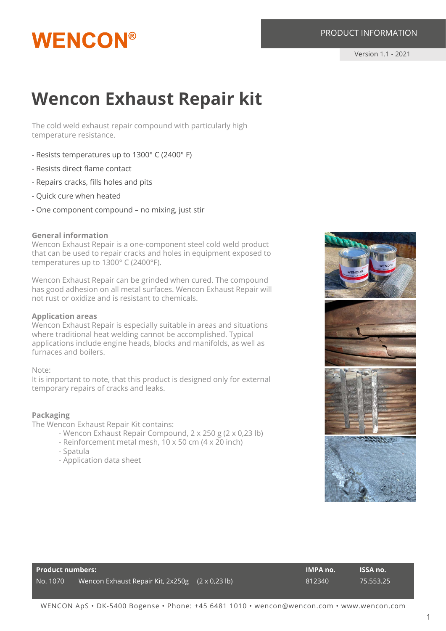#### PRODUCT INFORMATION

## **WENCON®**

### **Wencon Exhaust Repair kit**

The cold weld exhaust repair compound with particularly high temperature resistance.

- Resists temperatures up to 1300° C (2400° F)
- Resists direct flame contact
- Repairs cracks, fills holes and pits
- Quick cure when heated
- One component compound no mixing, just stir

#### **General information**

Wencon Exhaust Repair is a one-component steel cold weld product that can be used to repair cracks and holes in equipment exposed to temperatures up to 1300° C (2400°F).

Wencon Exhaust Repair can be grinded when cured. The compound has good adhesion on all metal surfaces. Wencon Exhaust Repair will not rust or oxidize and is resistant to chemicals.

#### **Application areas**

Wencon Exhaust Repair is especially suitable in areas and situations where traditional heat welding cannot be accomplished. Typical applications include engine heads, blocks and manifolds, as well as furnaces and boilers.

#### Note:

It is important to note, that this product is designed only for external temporary repairs of cracks and leaks.

#### **Packaging**

The Wencon Exhaust Repair Kit contains:

- Wencon Exhaust Repair Compound, 2 x 250 g (2 x 0,23 lb)
- Reinforcement metal mesh, 10 x 50 cm (4 x 20 inch)
- Spatula
- Application data sheet



| <b>Product numbers:</b> |                                                 |  | <b>IMPA no.</b> | <b>ISSA no.</b> |
|-------------------------|-------------------------------------------------|--|-----------------|-----------------|
| No. 1070                | Wencon Exhaust Repair Kit, 2x250g (2 x 0,23 lb) |  | 812340          | 75.553.25       |